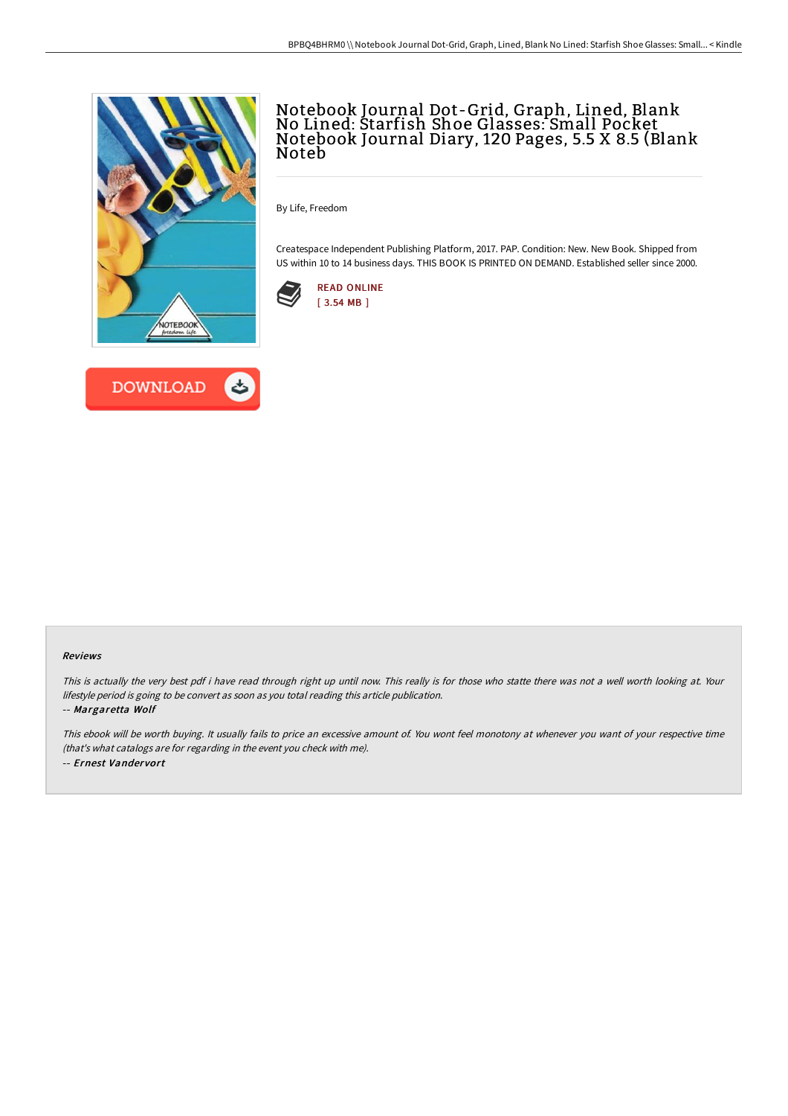



## Notebook Journal Dot-Grid, Graph, Lined, Blank No Lined: Starfish Shoe Glasses: Small Pocket Notebook Journal Diary, 120 Pages, 5.5 X 8.5 (Blank Noteb

By Life, Freedom

Createspace Independent Publishing Platform, 2017. PAP. Condition: New. New Book. Shipped from US within 10 to 14 business days. THIS BOOK IS PRINTED ON DEMAND. Established seller since 2000.



## Reviews

This is actually the very best pdf i have read through right up until now. This really is for those who statte there was not <sup>a</sup> well worth looking at. Your lifestyle period is going to be convert as soon as you total reading this article publication. -- Margaretta Wolf

This ebook will be worth buying. It usually fails to price an excessive amount of. You wont feel monotony at whenever you want of your respective time (that's what catalogs are for regarding in the event you check with me). -- Ernest Vandervort